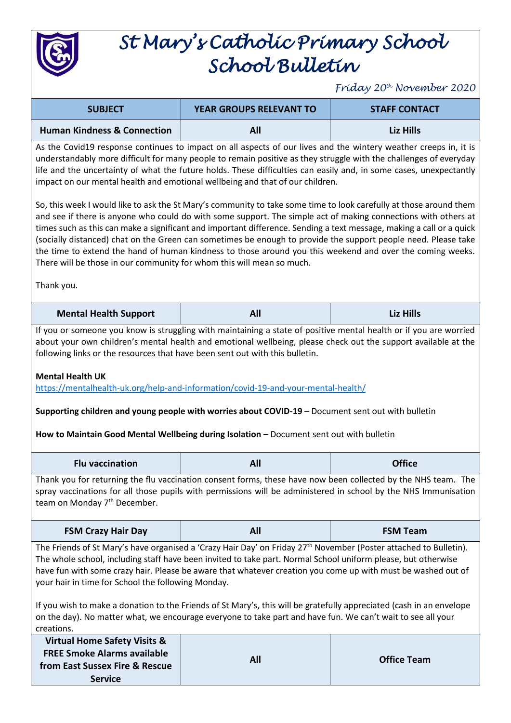

## *St Mary's Catholic Primary School School Bulletin*

*Friday 20th November 2020*

| <b>SUBJECT</b>                                                                                                                                                                                                                                                                                                                                                                                                                               | <b>YEAR GROUPS RELEVANT TO</b> | <b>STAFF CONTACT</b> |
|----------------------------------------------------------------------------------------------------------------------------------------------------------------------------------------------------------------------------------------------------------------------------------------------------------------------------------------------------------------------------------------------------------------------------------------------|--------------------------------|----------------------|
| <b>Human Kindness &amp; Connection</b>                                                                                                                                                                                                                                                                                                                                                                                                       | All                            | Liz Hills            |
| As the Covid19 response continues to impact on all aspects of our lives and the wintery weather creeps in, it is<br>understandably more difficult for many people to remain positive as they struggle with the challenges of everyday<br>life and the uncertainty of what the future holds. These difficulties can easily and, in some cases, unexpectantly<br>impact on our mental health and emotional wellbeing and that of our children. |                                |                      |

So, this week I would like to ask the St Mary's community to take some time to look carefully at those around them and see if there is anyone who could do with some support. The simple act of making connections with others at times such as this can make a significant and important difference. Sending a text message, making a call or a quick (socially distanced) chat on the Green can sometimes be enough to provide the support people need. Please take the time to extend the hand of human kindness to those around you this weekend and over the coming weeks. There will be those in our community for whom this will mean so much.

Thank you.

| <b>Mental Health Support</b> | Alı<br>- --- | <b>Liz Hills</b> |
|------------------------------|--------------|------------------|
|------------------------------|--------------|------------------|

If you or someone you know is struggling with maintaining a state of positive mental health or if you are worried about your own children's mental health and emotional wellbeing, please check out the support available at the following links or the resources that have been sent out with this bulletin.

## **Mental Health UK**

<https://mentalhealth-uk.org/help-and-information/covid-19-and-your-mental-health/>

## **Supporting children and young people with worries about COVID-19** – Document sent out with bulletin

**How to Maintain Good Mental Wellbeing during Isolation** – Document sent out with bulletin

| <b>Flu vaccination</b> | All | <b>Office</b> |
|------------------------|-----|---------------|
|------------------------|-----|---------------|

Thank you for returning the flu vaccination consent forms, these have now been collected by the NHS team. The spray vaccinations for all those pupils with permissions will be administered in school by the NHS Immunisation team on Monday 7<sup>th</sup> December.

| <b>FSM Crazy Hair Day</b> | All | <b>FSM Team</b> |
|---------------------------|-----|-----------------|
|---------------------------|-----|-----------------|

The Friends of St Mary's have organised a 'Crazy Hair Day' on Friday 27<sup>th</sup> November (Poster attached to Bulletin). The whole school, including staff have been invited to take part. Normal School uniform please, but otherwise have fun with some crazy hair. Please be aware that whatever creation you come up with must be washed out of your hair in time for School the following Monday.

If you wish to make a donation to the Friends of St Mary's, this will be gratefully appreciated (cash in an envelope on the day). No matter what, we encourage everyone to take part and have fun. We can't wait to see all your creations.

| <b>Virtual Home Safety Visits &amp;</b> |     |                    |
|-----------------------------------------|-----|--------------------|
| <b>FREE Smoke Alarms available</b>      | All | <b>Office Team</b> |
| from East Sussex Fire & Rescue          |     |                    |
| <b>Service</b>                          |     |                    |